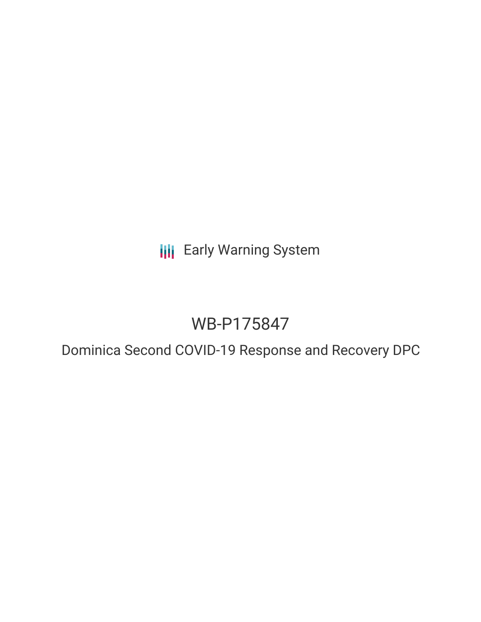**III** Early Warning System

# WB-P175847

Dominica Second COVID-19 Response and Recovery DPC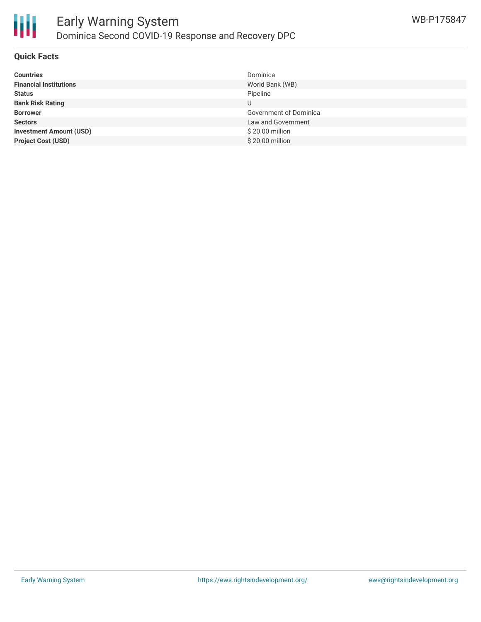

## **Quick Facts**

| <b>Countries</b>               | Dominica               |
|--------------------------------|------------------------|
| <b>Financial Institutions</b>  | World Bank (WB)        |
| <b>Status</b>                  | Pipeline               |
| <b>Bank Risk Rating</b>        | U                      |
| <b>Borrower</b>                | Government of Dominica |
| <b>Sectors</b>                 | Law and Government     |
| <b>Investment Amount (USD)</b> | \$20.00 million        |
| <b>Project Cost (USD)</b>      | \$20.00 million        |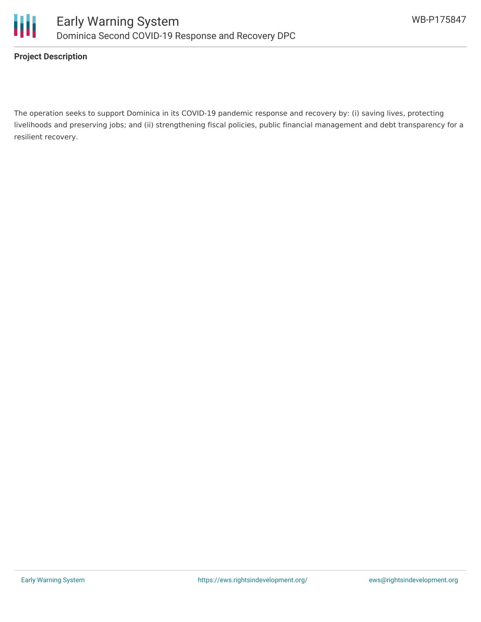



### **Project Description**

The operation seeks to support Dominica in its COVID-19 pandemic response and recovery by: (i) saving lives, protecting livelihoods and preserving jobs; and (ii) strengthening fiscal policies, public financial management and debt transparency for a resilient recovery.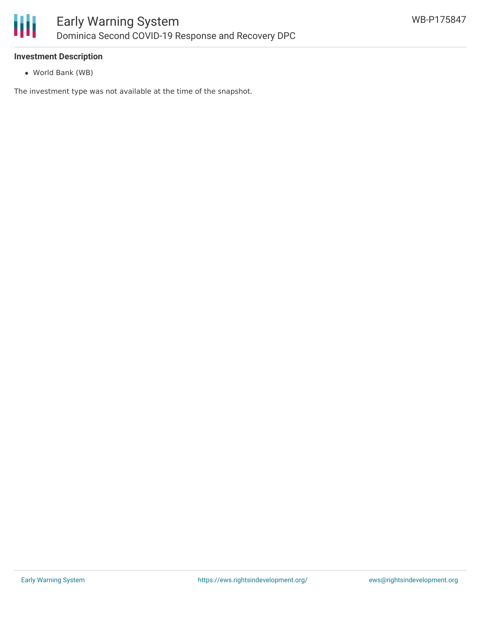

## **Investment Description**

World Bank (WB)

The investment type was not available at the time of the snapshot.